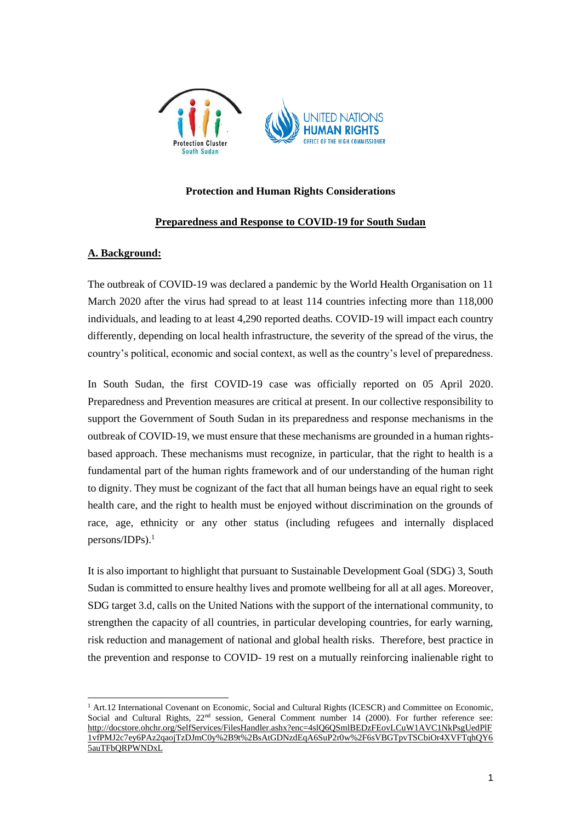

## **Protection and Human Rights Considerations**

#### **Preparedness and Response to COVID-19 for South Sudan**

#### **A. Background:**

The outbreak of COVID-19 was declared a pandemic by the World Health Organisation on 11 March 2020 after the virus had spread to at least 114 countries infecting more than 118,000 individuals, and leading to at least 4,290 reported deaths. COVID-19 will impact each country differently, depending on local health infrastructure, the severity of the spread of the virus, the country's political, economic and social context, as well as the country's level of preparedness.

In South Sudan, the first COVID-19 case was officially reported on 05 April 2020. Preparedness and Prevention measures are critical at present. In our collective responsibility to support the Government of South Sudan in its preparedness and response mechanisms in the outbreak of COVID-19, we must ensure that these mechanisms are grounded in a human rightsbased approach. These mechanisms must recognize, in particular, that the right to health is a fundamental part of the human rights framework and of our understanding of the human right to dignity. They must be cognizant of the fact that all human beings have an equal right to seek health care, and the right to health must be enjoyed without discrimination on the grounds of race, age, ethnicity or any other status (including refugees and internally displaced persons/IDPs). 1

It is also important to highlight that pursuant to Sustainable Development Goal (SDG) 3, South Sudan is committed to ensure healthy lives and promote wellbeing for all at all ages. Moreover, SDG target 3.d, calls on the United Nations with the support of the international community, to strengthen the capacity of all countries, in particular developing countries, for early warning, risk reduction and management of national and global health risks. Therefore, best practice in the prevention and response to COVID- 19 rest on a mutually reinforcing inalienable right to

<sup>&</sup>lt;sup>1</sup> Art.12 International Covenant on Economic, Social and Cultural Rights (ICESCR) and Committee on Economic, Social and Cultural Rights, 22<sup>nd</sup> session, General Comment number 14 (2000). For further reference see: [http://docstore.ohchr.org/SelfServices/FilesHandler.ashx?enc=4slQ6QSmlBEDzFEovLCuW1AVC1NkPsgUedPlF](http://docstore.ohchr.org/SelfServices/FilesHandler.ashx?enc=4slQ6QSmlBEDzFEovLCuW1AVC1NkPsgUedPlF1vfPMJ2c7ey6PAz2qaojTzDJmC0y%2B9t%2BsAtGDNzdEqA6SuP2r0w%2F6sVBGTpvTSCbiOr4XVFTqhQY65auTFbQRPWNDxL) [1vfPMJ2c7ey6PAz2qaojTzDJmC0y%2B9t%2BsAtGDNzdEqA6SuP2r0w%2F6sVBGTpvTSCbiOr4XVFTqhQY6](http://docstore.ohchr.org/SelfServices/FilesHandler.ashx?enc=4slQ6QSmlBEDzFEovLCuW1AVC1NkPsgUedPlF1vfPMJ2c7ey6PAz2qaojTzDJmC0y%2B9t%2BsAtGDNzdEqA6SuP2r0w%2F6sVBGTpvTSCbiOr4XVFTqhQY65auTFbQRPWNDxL) [5auTFbQRPWNDxL](http://docstore.ohchr.org/SelfServices/FilesHandler.ashx?enc=4slQ6QSmlBEDzFEovLCuW1AVC1NkPsgUedPlF1vfPMJ2c7ey6PAz2qaojTzDJmC0y%2B9t%2BsAtGDNzdEqA6SuP2r0w%2F6sVBGTpvTSCbiOr4XVFTqhQY65auTFbQRPWNDxL)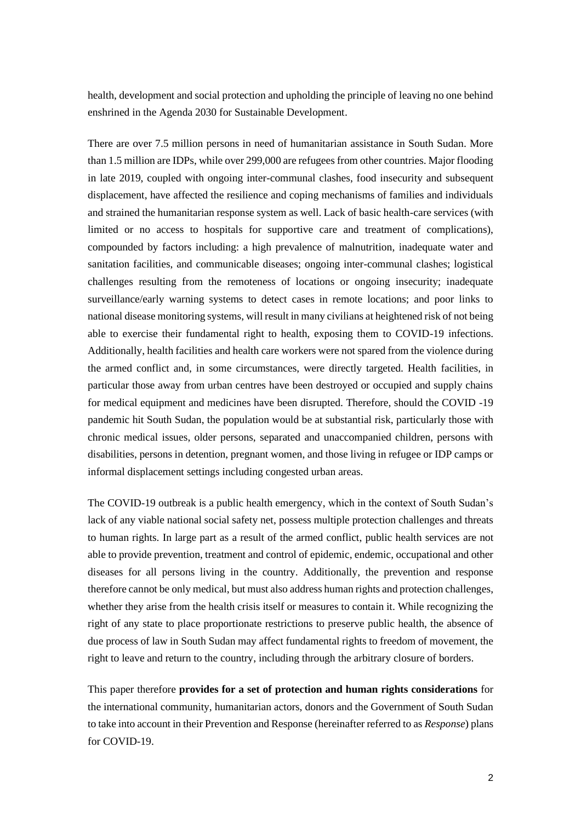health, development and social protection and upholding the principle of leaving no one behind enshrined in the Agenda 2030 for Sustainable Development.

There are over 7.5 million persons in need of humanitarian assistance in South Sudan. More than 1.5 million are IDPs, while over 299,000 are refugees from other countries. Major flooding in late 2019, coupled with ongoing inter-communal clashes, food insecurity and subsequent displacement, have affected the resilience and coping mechanisms of families and individuals and strained the humanitarian response system as well. Lack of basic health-care services (with limited or no access to hospitals for supportive care and treatment of complications), compounded by factors including: a high prevalence of malnutrition, inadequate water and sanitation facilities, and communicable diseases; ongoing inter-communal clashes; logistical challenges resulting from the remoteness of locations or ongoing insecurity; inadequate surveillance/early warning systems to detect cases in remote locations; and poor links to national disease monitoring systems, will result in many civilians at heightened risk of not being able to exercise their fundamental right to health, exposing them to COVID-19 infections. Additionally, health facilities and health care workers were not spared from the violence during the armed conflict and, in some circumstances, were directly targeted. Health facilities, in particular those away from urban centres have been destroyed or occupied and supply chains for medical equipment and medicines have been disrupted. Therefore, should the COVID -19 pandemic hit South Sudan, the population would be at substantial risk, particularly those with chronic medical issues, older persons, separated and unaccompanied children, persons with disabilities, persons in detention, pregnant women, and those living in refugee or IDP camps or informal displacement settings including congested urban areas.

The COVID-19 outbreak is a public health emergency, which in the context of South Sudan's lack of any viable national social safety net, possess multiple protection challenges and threats to human rights. In large part as a result of the armed conflict, public health services are not able to provide prevention, treatment and control of epidemic, endemic, occupational and other diseases for all persons living in the country. Additionally, the prevention and response therefore cannot be only medical, but must also address human rights and protection challenges, whether they arise from the health crisis itself or measures to contain it. While recognizing the right of any state to place proportionate restrictions to preserve public health, the absence of due process of law in South Sudan may affect fundamental rights to freedom of movement, the right to leave and return to the country, including through the arbitrary closure of borders.

This paper therefore **provides for a set of protection and human rights considerations** for the international community, humanitarian actors, donors and the Government of South Sudan to take into account in their Prevention and Response (hereinafter referred to as *Response*) plans for COVID-19.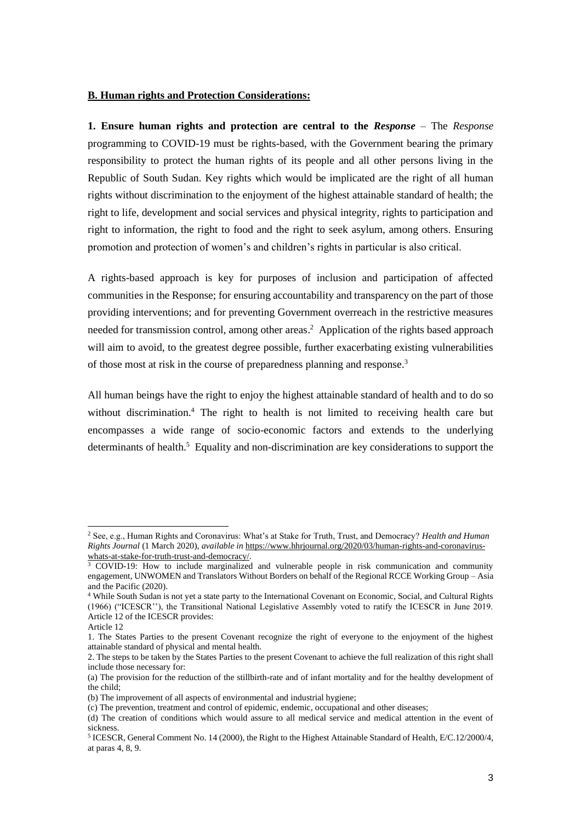#### **B. Human rights and Protection Considerations:**

**1. Ensure human rights and protection are central to the** *Response* – The *Response* programming to COVID-19 must be rights-based, with the Government bearing the primary responsibility to protect the human rights of its people and all other persons living in the Republic of South Sudan. Key rights which would be implicated are the right of all human rights without discrimination to the enjoyment of the highest attainable standard of health; the right to life, development and social services and physical integrity, rights to participation and right to information, the right to food and the right to seek asylum, among others. Ensuring promotion and protection of women's and children's rights in particular is also critical.

A rights-based approach is key for purposes of inclusion and participation of affected communities in the Response; for ensuring accountability and transparency on the part of those providing interventions; and for preventing Government overreach in the restrictive measures needed for transmission control, among other areas. 2 Application of the rights based approach will aim to avoid, to the greatest degree possible, further exacerbating existing vulnerabilities of those most at risk in the course of preparedness planning and response.<sup>3</sup>

All human beings have the right to enjoy the highest attainable standard of health and to do so without discrimination.<sup>4</sup> The right to health is not limited to receiving health care but encompasses a wide range of socio-economic factors and extends to the underlying determinants of health.<sup>5</sup> Equality and non-discrimination are key considerations to support the

<sup>2</sup> See, e.g., Human Rights and Coronavirus: What's at Stake for Truth, Trust, and Democracy? *Health and Human Rights Journal* (1 March 2020), *available in* [https://www.hhrjournal.org/2020/03/human-rights-and-coronavirus](https://www.hhrjournal.org/2020/03/human-rights-and-coronavirus-whats-at-stake-for-truth-trust-and-democracy/)[whats-at-stake-for-truth-trust-and-democracy/.](https://www.hhrjournal.org/2020/03/human-rights-and-coronavirus-whats-at-stake-for-truth-trust-and-democracy/)

<sup>&</sup>lt;sup>3</sup> COVID-19: How to include marginalized and vulnerable people in risk communication and community engagement, UNWOMEN and Translators Without Borders on behalf of the Regional RCCE Working Group – Asia and the Pacific (2020).

<sup>4</sup> While South Sudan is not yet a state party to the International Covenant on Economic, Social, and Cultural Rights (1966) ("ICESCR''), the Transitional National Legislative Assembly voted to ratify the ICESCR in June 2019. Article 12 of the ICESCR provides:

Article 12

<sup>1.</sup> The States Parties to the present Covenant recognize the right of everyone to the enjoyment of the highest attainable standard of physical and mental health.

<sup>2.</sup> The steps to be taken by the States Parties to the present Covenant to achieve the full realization of this right shall include those necessary for:

<sup>(</sup>a) The provision for the reduction of the stillbirth-rate and of infant mortality and for the healthy development of the child;

<sup>(</sup>b) The improvement of all aspects of environmental and industrial hygiene;

<sup>(</sup>c) The prevention, treatment and control of epidemic, endemic, occupational and other diseases;

<sup>(</sup>d) The creation of conditions which would assure to all medical service and medical attention in the event of sickness.

<sup>&</sup>lt;sup>5</sup> ICESCR, General Comment No. 14 (2000), the Right to the Highest Attainable Standard of Health, E/C.12/2000/4, at paras 4, 8, 9.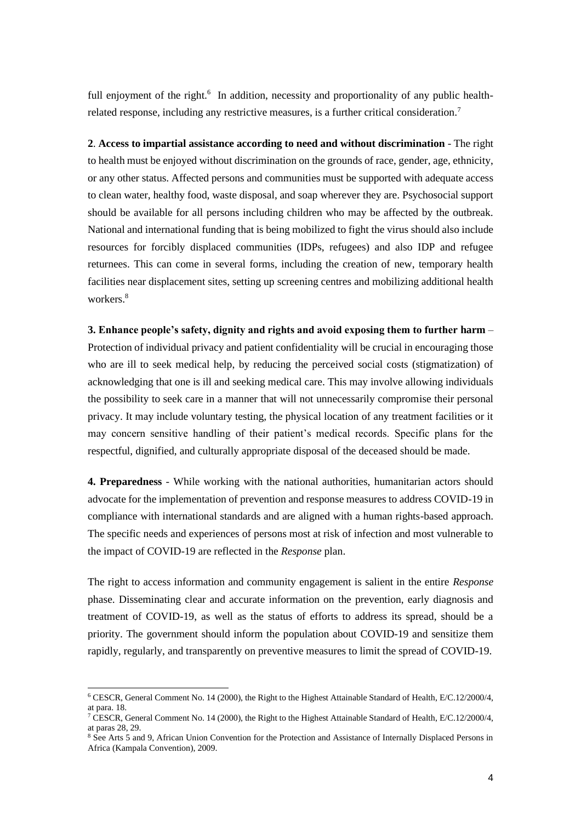full enjoyment of the right.<sup>6</sup> In addition, necessity and proportionality of any public healthrelated response, including any restrictive measures, is a further critical consideration.<sup>7</sup>

**2**. **Access to impartial assistance according to need and without discrimination** - The right to health must be enjoyed without discrimination on the grounds of race, gender, age, ethnicity, or any other status. Affected persons and communities must be supported with adequate access to clean water, healthy food, waste disposal, and soap wherever they are. Psychosocial support should be available for all persons including children who may be affected by the outbreak. National and international funding that is being mobilized to fight the virus should also include resources for forcibly displaced communities (IDPs, refugees) and also IDP and refugee returnees. This can come in several forms, including the creation of new, temporary health facilities near displacement sites, setting up screening centres and mobilizing additional health workers.<sup>8</sup>

**3. Enhance people's safety, dignity and rights and avoid exposing them to further harm** – Protection of individual privacy and patient confidentiality will be crucial in encouraging those who are ill to seek medical help, by reducing the perceived social costs (stigmatization) of acknowledging that one is ill and seeking medical care. This may involve allowing individuals the possibility to seek care in a manner that will not unnecessarily compromise their personal privacy. It may include voluntary testing, the physical location of any treatment facilities or it may concern sensitive handling of their patient's medical records. Specific plans for the respectful, dignified, and culturally appropriate disposal of the deceased should be made.

**4. Preparedness** - While working with the national authorities, humanitarian actors should advocate for the implementation of prevention and response measures to address COVID-19 in compliance with international standards and are aligned with a human rights-based approach. The specific needs and experiences of persons most at risk of infection and most vulnerable to the impact of COVID-19 are reflected in the *Response* plan.

The right to access information and community engagement is salient in the entire *Response* phase. Disseminating clear and accurate information on the prevention, early diagnosis and treatment of COVID-19, as well as the status of efforts to address its spread, should be a priority. The government should inform the population about COVID-19 and sensitize them rapidly, regularly, and transparently on preventive measures to limit the spread of COVID-19.

<sup>6</sup> CESCR, General Comment No. 14 (2000), the Right to the Highest Attainable Standard of Health, E/C.12/2000/4, at para. 18.

<sup>7</sup> CESCR, General Comment No. 14 (2000), the Right to the Highest Attainable Standard of Health, E/C.12/2000/4, at paras 28, 29.

<sup>8</sup> See Arts 5 and 9, African Union Convention for the Protection and Assistance of Internally Displaced Persons in Africa (Kampala Convention), 2009.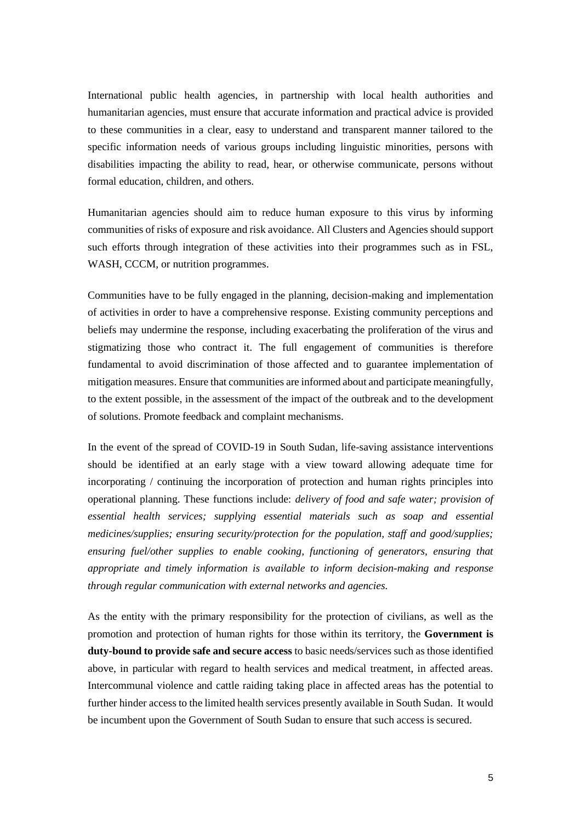International public health agencies, in partnership with local health authorities and humanitarian agencies, must ensure that accurate information and practical advice is provided to these communities in a clear, easy to understand and transparent manner tailored to the specific information needs of various groups including linguistic minorities, persons with disabilities impacting the ability to read, hear, or otherwise communicate, persons without formal education, children, and others.

Humanitarian agencies should aim to reduce human exposure to this virus by informing communities of risks of exposure and risk avoidance. All Clusters and Agencies should support such efforts through integration of these activities into their programmes such as in FSL, WASH, CCCM, or nutrition programmes.

Communities have to be fully engaged in the planning, decision-making and implementation of activities in order to have a comprehensive response. Existing community perceptions and beliefs may undermine the response, including exacerbating the proliferation of the virus and stigmatizing those who contract it. The full engagement of communities is therefore fundamental to avoid discrimination of those affected and to guarantee implementation of mitigation measures. Ensure that communities are informed about and participate meaningfully, to the extent possible, in the assessment of the impact of the outbreak and to the development of solutions. Promote feedback and complaint mechanisms.

In the event of the spread of COVID-19 in South Sudan, life-saving assistance interventions should be identified at an early stage with a view toward allowing adequate time for incorporating / continuing the incorporation of protection and human rights principles into operational planning. These functions include: *delivery of food and safe water; provision of essential health services; supplying essential materials such as soap and essential medicines/supplies; ensuring security/protection for the population, staff and good/supplies; ensuring fuel/other supplies to enable cooking, functioning of generators, ensuring that appropriate and timely information is available to inform decision-making and response through regular communication with external networks and agencies.*

As the entity with the primary responsibility for the protection of civilians, as well as the promotion and protection of human rights for those within its territory, the **Government is duty-bound to provide safe and secure access** to basic needs/services such as those identified above, in particular with regard to health services and medical treatment, in affected areas. Intercommunal violence and cattle raiding taking place in affected areas has the potential to further hinder access to the limited health services presently available in South Sudan. It would be incumbent upon the Government of South Sudan to ensure that such access is secured.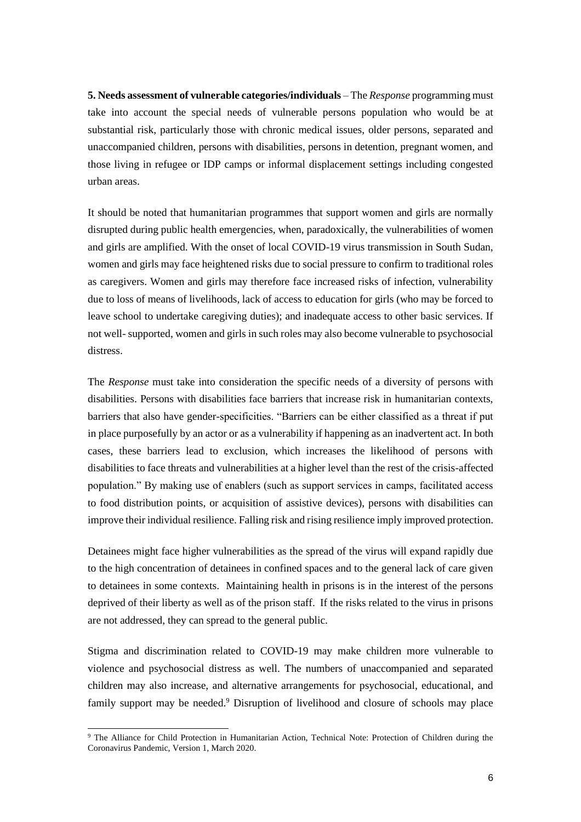**5. Needs assessment of vulnerable categories/individuals** – The *Response* programming must take into account the special needs of vulnerable persons population who would be at substantial risk, particularly those with chronic medical issues, older persons, separated and unaccompanied children, persons with disabilities, persons in detention, pregnant women, and those living in refugee or IDP camps or informal displacement settings including congested urban areas.

It should be noted that humanitarian programmes that support women and girls are normally disrupted during public health emergencies, when, paradoxically, the vulnerabilities of women and girls are amplified. With the onset of local COVID-19 virus transmission in South Sudan, women and girls may face heightened risks due to social pressure to confirm to traditional roles as caregivers. Women and girls may therefore face increased risks of infection, vulnerability due to loss of means of livelihoods, lack of access to education for girls (who may be forced to leave school to undertake caregiving duties); and inadequate access to other basic services. If not well- supported, women and girls in such roles may also become vulnerable to psychosocial distress.

The *Response* must take into consideration the specific needs of a diversity of persons with disabilities. Persons with disabilities face barriers that increase risk in humanitarian contexts, barriers that also have gender-specificities. "Barriers can be either classified as a threat if put in place purposefully by an actor or as a vulnerability if happening as an inadvertent act. In both cases, these barriers lead to exclusion, which increases the likelihood of persons with disabilities to face threats and vulnerabilities at a higher level than the rest of the crisis-affected population." By making use of enablers (such as support services in camps, facilitated access to food distribution points, or acquisition of assistive devices), persons with disabilities can improve their individual resilience. Falling risk and rising resilience imply improved protection.

Detainees might face higher vulnerabilities as the spread of the virus will expand rapidly due to the high concentration of detainees in confined spaces and to the general lack of care given to detainees in some contexts. Maintaining health in prisons is in the interest of the persons deprived of their liberty as well as of the prison staff. If the risks related to the virus in prisons are not addressed, they can spread to the general public.

Stigma and discrimination related to COVID-19 may make children more vulnerable to violence and psychosocial distress as well. The numbers of unaccompanied and separated children may also increase, and alternative arrangements for psychosocial, educational, and family support may be needed.<sup>9</sup> Disruption of livelihood and closure of schools may place

<sup>9</sup> The Alliance for Child Protection in Humanitarian Action, Technical Note: Protection of Children during the Coronavirus Pandemic, Version 1, March 2020.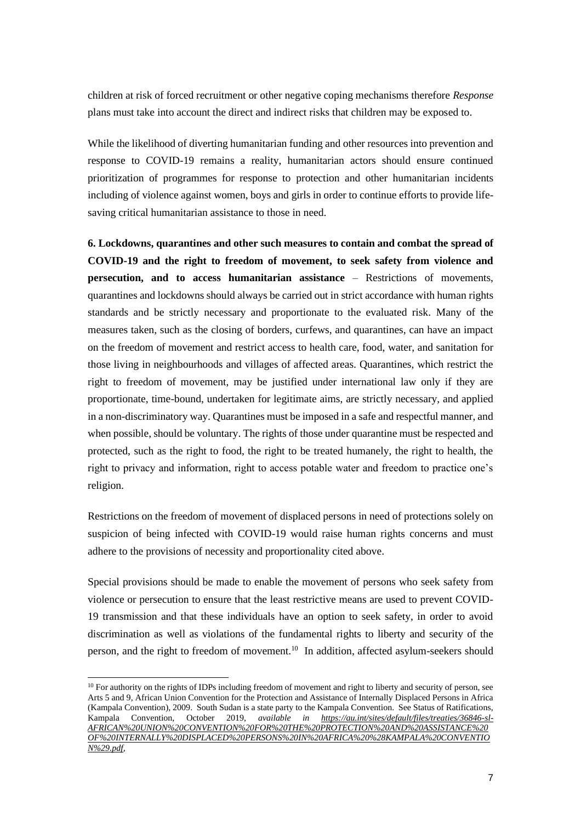children at risk of forced recruitment or other negative coping mechanisms therefore *Response* plans must take into account the direct and indirect risks that children may be exposed to.

While the likelihood of diverting humanitarian funding and other resources into prevention and response to COVID-19 remains a reality, humanitarian actors should ensure continued prioritization of programmes for response to protection and other humanitarian incidents including of violence against women, boys and girls in order to continue efforts to provide lifesaving critical humanitarian assistance to those in need.

**6. Lockdowns, quarantines and other such measures to contain and combat the spread of COVID-19 and the right to freedom of movement, to seek safety from violence and persecution, and to access humanitarian assistance** – Restrictions of movements, quarantines and lockdowns should always be carried out in strict accordance with human rights standards and be strictly necessary and proportionate to the evaluated risk. Many of the measures taken, such as the closing of borders, curfews, and quarantines, can have an impact on the freedom of movement and restrict access to health care, food, water, and sanitation for those living in neighbourhoods and villages of affected areas. Quarantines, which restrict the right to freedom of movement, may be justified under international law only if they are proportionate, time-bound, undertaken for legitimate aims, are strictly necessary, and applied in a non-discriminatory way. Quarantines must be imposed in a safe and respectful manner, and when possible, should be voluntary. The rights of those under quarantine must be respected and protected, such as the right to food, the right to be treated humanely, the right to health, the right to privacy and information, right to access potable water and freedom to practice one's religion.

Restrictions on the freedom of movement of displaced persons in need of protections solely on suspicion of being infected with COVID-19 would raise human rights concerns and must adhere to the provisions of necessity and proportionality cited above.

Special provisions should be made to enable the movement of persons who seek safety from violence or persecution to ensure that the least restrictive means are used to prevent COVID-19 transmission and that these individuals have an option to seek safety, in order to avoid discrimination as well as violations of the fundamental rights to liberty and security of the person, and the right to freedom of movement.<sup>10</sup> In addition, affected asylum-seekers should

<sup>&</sup>lt;sup>10</sup> For authority on the rights of IDPs including freedom of movement and right to liberty and security of person, see Arts 5 and 9, African Union Convention for the Protection and Assistance of Internally Displaced Persons in Africa (Kampala Convention), 2009. South Sudan is a state party to the Kampala Convention. See Status of Ratifications, Kampala Convention, October 2019, *available in [https://au.int/sites/default/files/treaties/36846-sl-](https://au.int/sites/default/files/treaties/36846-sl-AFRICAN%20UNION%20CONVENTION%20FOR%20THE%20PROTECTION%20AND%20ASSISTANCE%20OF%20INTERNALLY%20DISPLACED%20PERSONS%20IN%20AFRICA%20%28KAMPALA%20CONVENTION%29.pdf)[AFRICAN%20UNION%20CONVENTION%20FOR%20THE%20PROTECTION%20AND%20ASSISTANCE%20](https://au.int/sites/default/files/treaties/36846-sl-AFRICAN%20UNION%20CONVENTION%20FOR%20THE%20PROTECTION%20AND%20ASSISTANCE%20OF%20INTERNALLY%20DISPLACED%20PERSONS%20IN%20AFRICA%20%28KAMPALA%20CONVENTION%29.pdf) [OF%20INTERNALLY%20DISPLACED%20PERSONS%20IN%20AFRICA%20%28KAMPALA%20CONVENTIO](https://au.int/sites/default/files/treaties/36846-sl-AFRICAN%20UNION%20CONVENTION%20FOR%20THE%20PROTECTION%20AND%20ASSISTANCE%20OF%20INTERNALLY%20DISPLACED%20PERSONS%20IN%20AFRICA%20%28KAMPALA%20CONVENTION%29.pdf) [N%29.pdf,](https://au.int/sites/default/files/treaties/36846-sl-AFRICAN%20UNION%20CONVENTION%20FOR%20THE%20PROTECTION%20AND%20ASSISTANCE%20OF%20INTERNALLY%20DISPLACED%20PERSONS%20IN%20AFRICA%20%28KAMPALA%20CONVENTION%29.pdf)*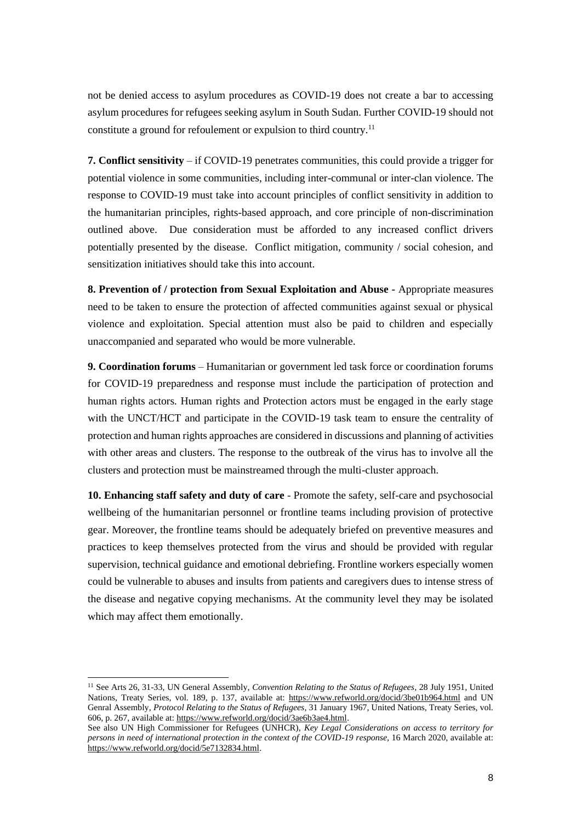not be denied access to asylum procedures as COVID-19 does not create a bar to accessing asylum procedures for refugees seeking asylum in South Sudan. Further COVID-19 should not constitute a ground for refoulement or expulsion to third country.<sup>11</sup>

**7. Conflict sensitivity** – if COVID-19 penetrates communities, this could provide a trigger for potential violence in some communities, including inter-communal or inter-clan violence. The response to COVID-19 must take into account principles of conflict sensitivity in addition to the humanitarian principles, rights-based approach, and core principle of non-discrimination outlined above. Due consideration must be afforded to any increased conflict drivers potentially presented by the disease. Conflict mitigation, community / social cohesion, and sensitization initiatives should take this into account.

**8. Prevention of / protection from Sexual Exploitation and Abuse -** Appropriate measures need to be taken to ensure the protection of affected communities against sexual or physical violence and exploitation. Special attention must also be paid to children and especially unaccompanied and separated who would be more vulnerable.

**9. Coordination forums** – Humanitarian or government led task force or coordination forums for COVID-19 preparedness and response must include the participation of protection and human rights actors. Human rights and Protection actors must be engaged in the early stage with the UNCT/HCT and participate in the COVID-19 task team to ensure the centrality of protection and human rights approaches are considered in discussions and planning of activities with other areas and clusters. The response to the outbreak of the virus has to involve all the clusters and protection must be mainstreamed through the multi-cluster approach.

**10. Enhancing staff safety and duty of care** - Promote the safety, self-care and psychosocial wellbeing of the humanitarian personnel or frontline teams including provision of protective gear. Moreover, the frontline teams should be adequately briefed on preventive measures and practices to keep themselves protected from the virus and should be provided with regular supervision, technical guidance and emotional debriefing. Frontline workers especially women could be vulnerable to abuses and insults from patients and caregivers dues to intense stress of the disease and negative copying mechanisms. At the community level they may be isolated which may affect them emotionally.

<sup>11</sup> See Arts 26, 31-33, UN General Assembly, *Convention Relating to the Status of Refugees,* 28 July 1951, United Nations, Treaty Series, vol. 189, p. 137, available at:<https://www.refworld.org/docid/3be01b964.html> and UN Genral Assembly, *Protocol Relating to the Status of Refugees*, 31 January 1967, United Nations, Treaty Series, vol. 606, p. 267, available at: [https://www.refworld.org/docid/3ae6b3ae4.html.](https://www.refworld.org/docid/3ae6b3ae4.html)

See also UN High Commissioner for Refugees (UNHCR), *Key Legal Considerations on access to territory for persons in need of international protection in the context of the COVID-19 response*, 16 March 2020, available at: [https://www.refworld.org/docid/5e7132834.html.](https://www.refworld.org/docid/5e7132834.html)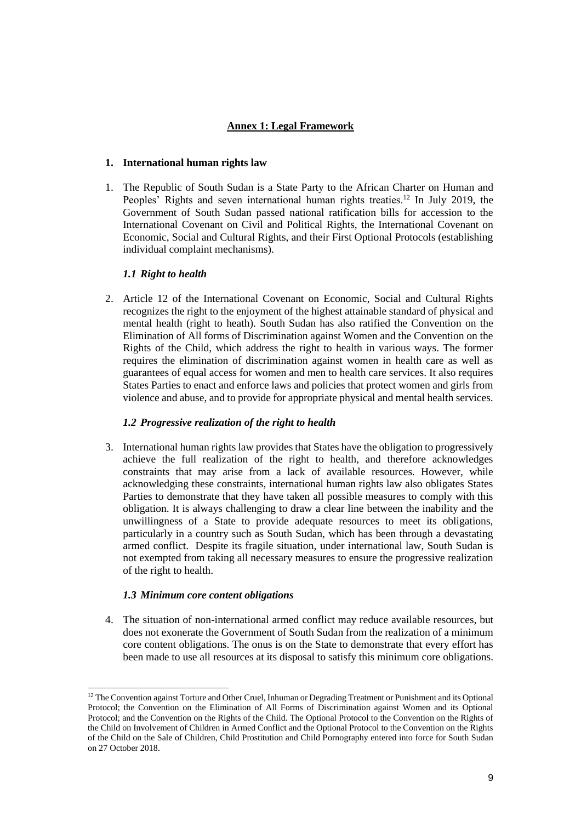# **Annex 1: Legal Framework**

## **1. International human rights law**

1. The Republic of South Sudan is a State Party to the African Charter on Human and Peoples' Rights and seven international human rights treaties.<sup>12</sup> In July 2019, the Government of South Sudan passed national ratification bills for accession to the International Covenant on Civil and Political Rights, the International Covenant on Economic, Social and Cultural Rights, and their First Optional Protocols (establishing individual complaint mechanisms).

## *1.1 Right to health*

2. Article 12 of the International Covenant on Economic, Social and Cultural Rights recognizes the right to the enjoyment of the highest attainable standard of physical and mental health (right to heath). South Sudan has also ratified the Convention on the Elimination of All forms of Discrimination against Women and the Convention on the Rights of the Child, which address the right to health in various ways. The former requires the elimination of discrimination against women in health care as well as guarantees of equal access for women and men to health care services. It also requires States Parties to enact and enforce laws and policies that protect women and girls from violence and abuse, and to provide for appropriate physical and mental health services.

# *1.2 Progressive realization of the right to health*

3. International human rights law provides that States have the obligation to progressively achieve the full realization of the right to health, and therefore acknowledges constraints that may arise from a lack of available resources. However, while acknowledging these constraints, international human rights law also obligates States Parties to demonstrate that they have taken all possible measures to comply with this obligation. It is always challenging to draw a clear line between the inability and the unwillingness of a State to provide adequate resources to meet its obligations, particularly in a country such as South Sudan, which has been through a devastating armed conflict. Despite its fragile situation, under international law, South Sudan is not exempted from taking all necessary measures to ensure the progressive realization of the right to health.

#### *1.3 Minimum core content obligations*

4. The situation of non-international armed conflict may reduce available resources, but does not exonerate the Government of South Sudan from the realization of a minimum core content obligations. The onus is on the State to demonstrate that every effort has been made to use all resources at its disposal to satisfy this minimum core obligations.

<sup>&</sup>lt;sup>12</sup> The Convention against Torture and Other Cruel, Inhuman or Degrading Treatment or Punishment and its Optional Protocol; the Convention on the Elimination of All Forms of Discrimination against Women and its Optional Protocol; and the Convention on the Rights of the Child. The Optional Protocol to the Convention on the Rights of the Child on Involvement of Children in Armed Conflict and the Optional Protocol to the Convention on the Rights of the Child on the Sale of Children, Child Prostitution and Child Pornography entered into force for South Sudan on 27 October 2018.